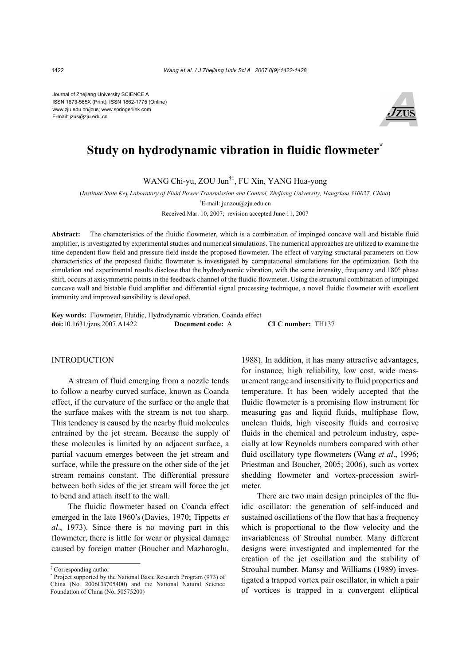Journal of Zhejiang University SCIENCE A ISSN 1673-565X (Print); ISSN 1862-1775 (Online) www.zju.edu.cn/jzus; www.springerlink.com E-mail: jzus@zju.edu.cn



# **Study on hydrodynamic vibration in fluidic flowmeter<sup>\*</sup>**

WANG Chi-yu, ZOU Jun†‡, FU Xin, YANG Hua-yong

(*Institute State Key Laboratory of Fluid Power Transmission and Control, Zhejiang University, Hangzhou 310027, China*) † E-mail: junzou@zju.edu.cn

Received Mar. 10, 2007; revision accepted June 11, 2007

**Abstract:** The characteristics of the fluidic flowmeter, which is a combination of impinged concave wall and bistable fluid amplifier, is investigated by experimental studies and numerical simulations. The numerical approaches are utilized to examine the time dependent flow field and pressure field inside the proposed flowmeter. The effect of varying structural parameters on flow characteristics of the proposed fluidic flowmeter is investigated by computational simulations for the optimization. Both the simulation and experimental results disclose that the hydrodynamic vibration, with the same intensity, frequency and 180° phase shift, occurs at axisymmetric points in the feedback channel of the fluidic flowmeter. Using the structural combination of impinged concave wall and bistable fluid amplifier and differential signal processing technique, a novel fluidic flowmeter with excellent immunity and improved sensibility is developed.

**Key words:** Flowmeter, Fluidic, Hydrodynamic vibration, Coanda effect **doi:**10.1631/jzus.2007.A1422 **Document code:** A **CLC number:** TH137

## **INTRODUCTION**

A stream of fluid emerging from a nozzle tends to follow a nearby curved surface, known as Coanda effect, if the curvature of the surface or the angle that the surface makes with the stream is not too sharp. This tendency is caused by the nearby fluid molecules entrained by the jet stream. Because the supply of these molecules is limited by an adjacent surface, a partial vacuum emerges between the jet stream and surface, while the pressure on the other side of the jet stream remains constant. The differential pressure between both sides of the jet stream will force the jet to bend and attach itself to the wall.

The fluidic flowmeter based on Coanda effect emerged in the late 1960's(Davies, 1970; Tippetts *et al*., 1973). Since there is no moving part in this flowmeter, there is little for wear or physical damage caused by foreign matter (Boucher and Mazharoglu,

1988). In addition, it has many attractive advantages, for instance, high reliability, low cost, wide measurement range and insensitivity to fluid properties and temperature. It has been widely accepted that the fluidic flowmeter is a promising flow instrument for measuring gas and liquid fluids, multiphase flow, unclean fluids, high viscosity fluids and corrosive fluids in the chemical and petroleum industry, especially at low Reynolds numbers compared with other fluid oscillatory type flowmeters (Wang *et al*., 1996; Priestman and Boucher, 2005; 2006), such as vortex shedding flowmeter and vortex-precession swirlmeter.

There are two main design principles of the fluidic oscillator: the generation of self-induced and sustained oscillations of the flow that has a frequency which is proportional to the flow velocity and the invariableness of Strouhal number. Many different designs were investigated and implemented for the creation of the jet oscillation and the stability of Strouhal number. Mansy and Williams (1989) investigated a trapped vortex pair oscillator, in which a pair of vortices is trapped in a convergent elliptical

<sup>‡</sup> Corresponding author

<sup>\*</sup> Project supported by the National Basic Research Program (973) of China (No. 2006CB705400) and the National Natural Science Foundation of China (No. 50575200)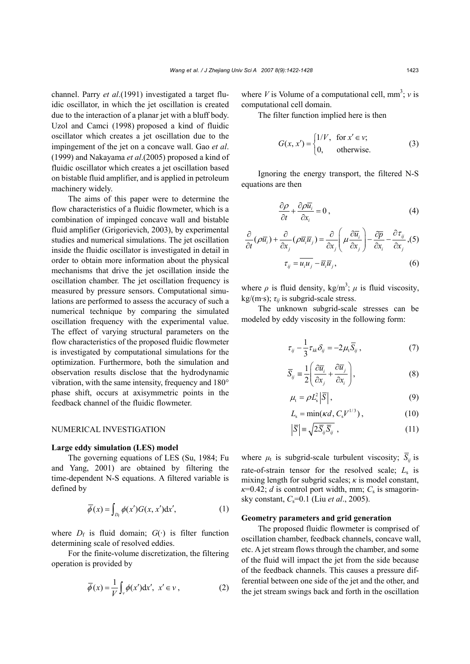channel. Parry *et al*.(1991) investigated a target fluidic oscillator, in which the jet oscillation is created due to the interaction of a planar jet with a bluff body. Uzol and Camci (1998) proposed a kind of fluidic oscillator which creates a jet oscillation due to the impingement of the jet on a concave wall. Gao *et al*. (1999) and Nakayama *et al*.(2005) proposed a kind of fluidic oscillator which creates a jet oscillation based on bistable fluid amplifier, and is applied in petroleum machinery widely.

The aims of this paper were to determine the flow characteristics of a fluidic flowmeter, which is a combination of impinged concave wall and bistable fluid amplifier (Grigorievich, 2003), by experimental studies and numerical simulations. The jet oscillation inside the fluidic oscillator is investigated in detail in order to obtain more information about the physical mechanisms that drive the jet oscillation inside the oscillation chamber. The jet oscillation frequency is measured by pressure sensors. Computational simulations are performed to assess the accuracy of such a numerical technique by comparing the simulated oscillation frequency with the experimental value. The effect of varying structural parameters on the flow characteristics of the proposed fluidic flowmeter is investigated by computational simulations for the optimization. Furthermore, both the simulation and observation results disclose that the hydrodynamic vibration, with the same intensity, frequency and 180° phase shift, occurs at axisymmetric points in the feedback channel of the fluidic flowmeter.

#### NUMERICAL INVESTIGATION

#### **Large eddy simulation (LES) model**

The governing equations of LES (Su, 1984; Fu and Yang, 2001) are obtained by filtering the time-dependent N-S equations. A filtered variable is defined by

$$
\overline{\phi}(x) = \int_{D_f} \phi(x')G(x, x')dx', \tag{1}
$$

where  $D_f$  is fluid domain;  $G(\cdot)$  is filter function determining scale of resolved eddies.

For the finite-volume discretization, the filtering operation is provided by

$$
\overline{\phi}(x) = \frac{1}{V} \int_{V} \phi(x') dx', \ x' \in V,
$$
 (2)

where *V* is Volume of a computational cell,  $mm^3$ ; *v* is computational cell domain.

The filter function implied here is then

$$
G(x, x') = \begin{cases} 1/V, & \text{for } x' \in \mathcal{V}; \\ 0, & \text{otherwise.} \end{cases}
$$
 (3)

Ignoring the energy transport, the filtered N-S equations are then

$$
\frac{\partial \rho}{\partial t} + \frac{\partial \rho \overline{u_i}}{\partial x_i} = 0, \qquad (4)
$$

$$
\frac{\partial}{\partial t}(\rho \overline{u}_i) + \frac{\partial}{\partial x_j}(\rho \overline{u}_i \overline{u}_j) = \frac{\partial}{\partial x_j} \left( \mu \frac{\partial \overline{u}_i}{\partial x_j} \right) - \frac{\partial \overline{p}}{\partial x_i} - \frac{\partial \tau_{ij}}{\partial x_j}, (5)
$$

$$
\tau_{ij} = \overline{u_i u_j} - \overline{u}_i \overline{u}_j,
$$
(6)

where  $\rho$  is fluid density, kg/m<sup>3</sup>;  $\mu$  is fluid viscosity, kg/(m·s);  $\tau_{ii}$  is subgrid-scale stress.

The unknown subgrid-scale stresses can be modeled by eddy viscosity in the following form:

$$
\tau_{ij} - \frac{1}{3} \tau_{kk} \delta_{ij} = -2\mu_{t} \overline{S}_{ij} , \qquad (7)
$$

$$
\overline{S}_{ij} \equiv \frac{1}{2} \left( \frac{\partial \overline{u}_i}{\partial x_j} + \frac{\partial \overline{u}_j}{\partial x_i} \right),
$$
 (8)

$$
\mu_{\rm t} = \rho L_{\rm s}^2 \left| \overline{S} \right|, \tag{9}
$$

$$
L_{\rm s} = \min(\kappa d, C_{\rm s} V^{1/3}), \qquad (10)
$$

$$
\left|\overline{S}\right| \equiv \sqrt{2\overline{S}_{ij}\overline{S}_{ij}} \tag{11}
$$

where 
$$
\mu_t
$$
 is subgrid-scale turbulent viscosity;  $\overline{S}_{ij}$  is  
rate-of-strain tensor for the resolved scale;  $L_s$  is  
mixing length for subgrid scales;  $\kappa$  is model constant,  
 $\kappa$ =0.42; *d* is control port width, mm;  $C_s$  is smagorin-

#### **Geometry parameters and grid generation**

sky constant, *C*s=0.1 (Liu *et al*., 2005).

The proposed fluidic flowmeter is comprised of oscillation chamber, feedback channels, concave wall, etc. A jet stream flows through the chamber, and some of the fluid will impact the jet from the side because of the feedback channels. This causes a pressure differential between one side of the jet and the other, and the jet stream swings back and forth in the oscillation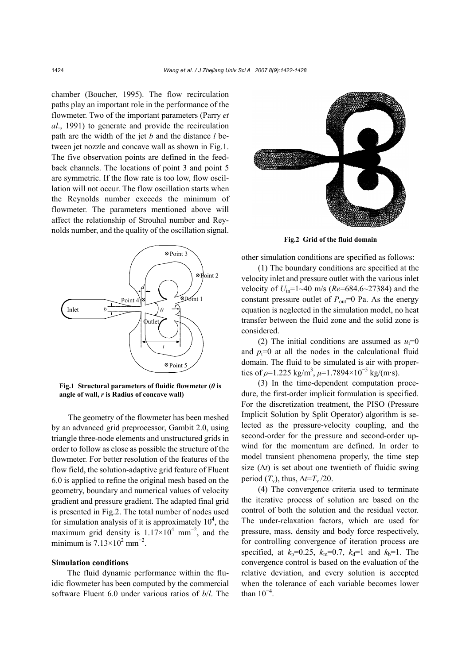chamber (Boucher, 1995). The flow recirculation paths play an important role in the performance of the flowmeter. Two of the important parameters (Parry *et al*., 1991) to generate and provide the recirculation path are the width of the jet *b* and the distance *l* between jet nozzle and concave wall as shown in Fig.1. The five observation points are defined in the feedback channels. The locations of point 3 and point 5 are symmetric. If the flow rate is too low, flow oscillation will not occur. The flow oscillation starts when the Reynolds number exceeds the minimum of flowmeter. The parameters mentioned above will affect the relationship of Strouhal number and Reynolds number, and the quality of the oscillation signal.



**Fig.1 Structural parameters of fluidic flowmeter (** $\theta$  **is angle of wall,** *r* **is Radius of concave wall)** 

The geometry of the flowmeter has been meshed by an advanced grid preprocessor, Gambit 2.0, using triangle three-node elements and unstructured grids in order to follow as close as possible the structure of the flowmeter. For better resolution of the features of the flow field, the solution-adaptive grid feature of Fluent 6.0 is applied to refine the original mesh based on the geometry, boundary and numerical values of velocity gradient and pressure gradient. The adapted final grid is presented in Fig.2. The total number of nodes used for simulation analysis of it is approximately  $10^4$ , the maximum grid density is  $1.17 \times 10^4$  mm<sup>-2</sup>, and the minimum is  $7.13 \times 10^2$  mm<sup>-2</sup>.

### **Simulation conditions**

The fluid dynamic performance within the fluidic flowmeter has been computed by the commercial software Fluent 6.0 under various ratios of *b*/*l*. The



**Fig.2 Grid of the fluid domain**

other simulation conditions are specified as follows:

(1) The boundary conditions are specified at the velocity inlet and pressure outlet with the various inlet velocity of  $U_{\text{in}}$ =1~40 m/s ( $Re$ =684.6~27384) and the constant pressure outlet of  $P_{\text{out}}=0$  Pa. As the energy equation is neglected in the simulation model, no heat transfer between the fluid zone and the solid zone is considered.

(2) The initial conditions are assumed as  $u_i=0$ and  $p_i=0$  at all the nodes in the calculational fluid domain. The fluid to be simulated is air with properties of  $\rho$ =1.225 kg/m<sup>3</sup>,  $\mu$ =1.7894×10<sup>-5</sup> kg/(m·s).

(3) In the time-dependent computation procedure, the first-order implicit formulation is specified. For the discretization treatment, the PISO (Pressure Implicit Solution by Split Operator) algorithm is selected as the pressure-velocity coupling, and the second-order for the pressure and second-order upwind for the momentum are defined. In order to model transient phenomena properly, the time step size  $(\Delta t)$  is set about one twentieth of fluidic swing period  $(T_v)$ , thus,  $\Delta t = T_v / 20$ .

(4) The convergence criteria used to terminate the iterative process of solution are based on the control of both the solution and the residual vector. The under-relaxation factors, which are used for pressure, mass, density and body force respectively, for controlling convergence of iteration process are specified, at  $k_p=0.25$ ,  $k_m=0.7$ ,  $k_d=1$  and  $k_b=1$ . The convergence control is based on the evaluation of the relative deviation, and every solution is accepted when the tolerance of each variable becomes lower than  $10^{-4}$ .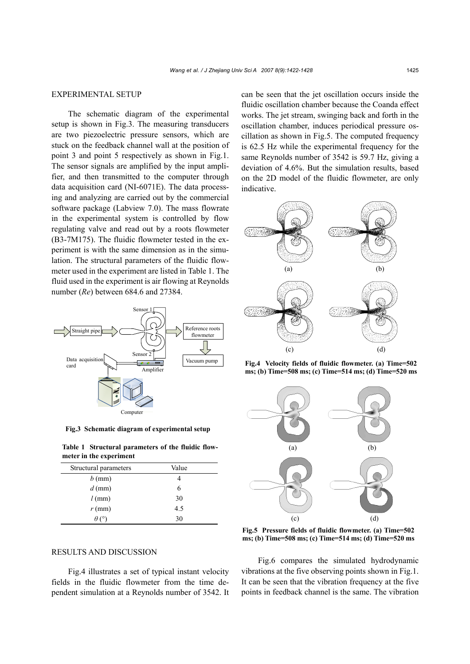## EXPERIMENTAL SETUP

The schematic diagram of the experimental setup is shown in Fig.3. The measuring transducers are two piezoelectric pressure sensors, which are stuck on the feedback channel wall at the position of point 3 and point 5 respectively as shown in Fig.1. The sensor signals are amplified by the input amplifier, and then transmitted to the computer through data acquisition card (NI-6071E). The data processing and analyzing are carried out by the commercial software package (Labview 7.0). The mass flowrate in the experimental system is controlled by flow regulating valve and read out by a roots flowmeter (B3-7M175). The fluidic flowmeter tested in the experiment is with the same dimension as in the simulation. The structural parameters of the fluidic flowmeter used in the experiment are listed in Table 1. The fluid used in the experiment is air flowing at Reynolds number (*Re*) between 684.6 and 27384.



**Fig.3 Schematic diagram of experimental setup**

**Table 1 Structural parameters of the fluidic flowmeter in the experiment** 

| Structural parameters | Value |  |
|-----------------------|-------|--|
| $b$ (mm)              |       |  |
| $d$ (mm)              | 6     |  |
| $l$ (mm)              | 30    |  |
| $r$ (mm)              | 4.5   |  |
|                       | 30    |  |

can be seen that the jet oscillation occurs inside the fluidic oscillation chamber because the Coanda effect works. The jet stream, swinging back and forth in the oscillation chamber, induces periodical pressure oscillation as shown in Fig.5. The computed frequency is 62.5 Hz while the experimental frequency for the same Reynolds number of 3542 is 59.7 Hz, giving a deviation of 4.6%. But the simulation results, based on the 2D model of the fluidic flowmeter, are only indicative.



**Fig.4 Velocity fields of fluidic flowmeter. (a) Time=502 ms; (b) Time=508 ms; (c) Time=514 ms; (d) Time=520 ms**



**Fig.5 Pressure fields of fluidic flowmeter. (a) Time=502 ms; (b) Time=508 ms; (c) Time=514 ms; (d) Time=520 ms**

# RESULTS AND DISCUSSION

Fig.4 illustrates a set of typical instant velocity fields in the fluidic flowmeter from the time dependent simulation at a Reynolds number of 3542. It

Fig.6 compares the simulated hydrodynamic vibrations at the five observing points shown in Fig.1. It can be seen that the vibration frequency at the five points in feedback channel is the same. The vibration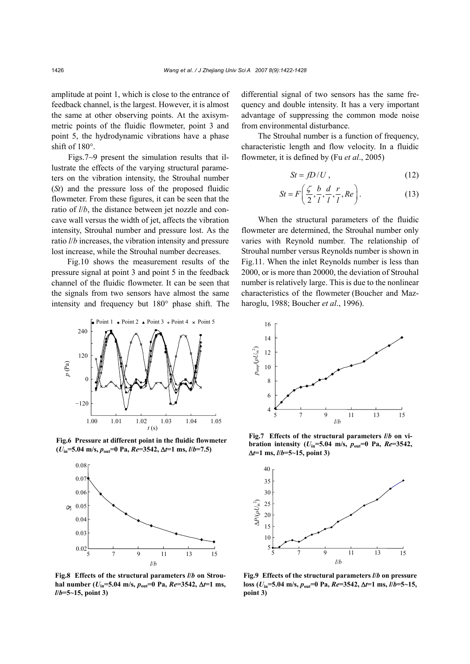amplitude at point 1, which is close to the entrance of feedback channel, is the largest. However, it is almost the same at other observing points. At the axisymmetric points of the fluidic flowmeter, point 3 and point 5, the hydrodynamic vibrations have a phase shift of 180°.

Figs.7~9 present the simulation results that illustrate the effects of the varying structural parameters on the vibration intensity, the Strouhal number (*St*) and the pressure loss of the proposed fluidic flowmeter. From these figures, it can be seen that the ratio of *l*/*b*, the distance between jet nozzle and concave wall versus the width of jet, affects the vibration intensity, Strouhal number and pressure lost. As the ratio *l*/*b* increases, the vibration intensity and pressure lost increase, while the Strouhal number decreases.

Fig.10 shows the measurement results of the pressure signal at point 3 and point 5 in the feedback channel of the fluidic flowmeter. It can be seen that the signals from two sensors have almost the same intensity and frequency but 180° phase shift. The



**Fig.6 Pressure at different point in the fluidic flowmeter (***U***in=5.04 m/s,** *p***out=0 Pa,** *Re***=3542,** ∆*t***=1 ms,** *l***/***b***=7.5)** 



**Fig.8 Effects of the structural parameters** *l***/***b* **on Strou**hal number ( $U_{in}$ =5.04 m/s,  $p_{out}$ =0 Pa,  $Re$ =3542,  $\Delta t$ =1 ms, *l***/***b***=5~15, point 3)** 

differential signal of two sensors has the same frequency and double intensity. It has a very important advantage of suppressing the common mode noise from environmental disturbance.

The Strouhal number is a function of frequency, characteristic length and flow velocity. In a fluidic flowmeter, it is defined by (Fu *et al*., 2005)

$$
St = fD/U, \tag{12}
$$

$$
St = F\left(\frac{\zeta}{2}, \frac{b}{l}, \frac{d}{l}, \frac{r}{l}, Re\right). \tag{13}
$$

When the structural parameters of the fluidic flowmeter are determined, the Strouhal number only varies with Reynold number. The relationship of Strouhal number versus Reynolds number is shown in Fig.11. When the inlet Reynolds number is less than 2000, or is more than 20000, the deviation of Strouhal number is relatively large. This is due to the nonlinear characteristics of the flowmeter (Boucher and Mazharoglu, 1988; Boucher *et al*., 1996).



**Fig.7 Effects of the structural parameters** *l***/***b* **on vibration intensity** ( $U_{in}$ =5.04 m/s,  $p_{out}$ =0 Pa,  $Re$ =3542, ∆*t***=1 ms,** *l***/***b***=5~15, point 3)** 



**Fig.9 Effects of the structural parameters** *l***/***b* **on pressure loss** ( $U_{in}$ =5.04 m/s,  $p_{out}$ =0 Pa,  $Re$ =3542,  $\Delta t$ =1 ms,  $l/b$ =5~15, **point 3)**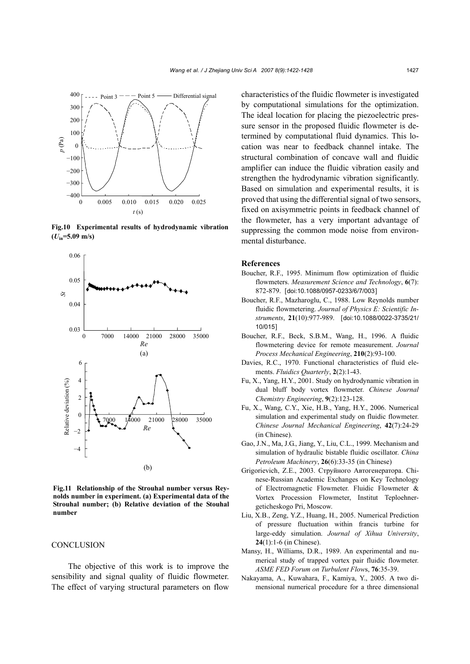

**Fig.10 Experimental results of hydrodynamic vibration**  $(U_{in} = 5.09 \text{ m/s})$ 



**Fig.11 Relationship of the Strouhal number versus Reynolds number in experiment. (a) Experimental data of the Strouhal number; (b) Relative deviation of the Stouhal number** 

#### **CONCLUSION**

The objective of this work is to improve the sensibility and signal quality of fluidic flowmeter. The effect of varying structural parameters on flow characteristics of the fluidic flowmeter is investigated by computational simulations for the optimization. The ideal location for placing the piezoelectric pressure sensor in the proposed fluidic flowmeter is determined by computational fluid dynamics. This location was near to feedback channel intake. The structural combination of concave wall and fluidic amplifier can induce the fluidic vibration easily and strengthen the hydrodynamic vibration significantly. Based on simulation and experimental results, it is proved that using the differential signal of two sensors, fixed on axisymmetric points in feedback channel of the flowmeter, has a very important advantage of suppressing the common mode noise from environmental disturbance.

## **References**

- Boucher, R.F., 1995. Minimum flow optimization of fluidic flowmeters. *Measurement Science and Technology*, **6**(7): 872-879. [doi:10.1088/0957-0233/6/7/003]
- Boucher, R.F., Mazharoglu, C., 1988. Low Reynolds number fluidic flowmetering. *Journal of Physics E: Scientific Instruments*, **21**(10):977-989. [doi:10.1088/0022-3735/21/ 10/015]
- Boucher, R.F., Beck, S.B.M., Wang, H., 1996. A fluidic flowmetering device for remote measurement. *Journal Process Mechanical Engineering*, **210**(2):93-100.
- Davies, R.C., 1970. Functional characteristics of fluid elements. *Fluidics Quarterly*, **2**(2):1-43.
- Fu, X., Yang, H.Y., 2001. Study on hydrodynamic vibration in dual bluff body vortex flowmeter. *Chinese Journal Chemistry Engineering*, **9**(2):123-128.
- Fu, X., Wang, C.Y., Xie, H.B., Yang, H.Y., 2006. Numerical simulation and experimental study on fluidic flowmeter. *Chinese Journal Mechanical Engineering*, **42**(7):24-29 (in Chinese).
- Gao, J.N., Ma, J.G., Jiang, Y., Liu, C.L., 1999. Mechanism and simulation of hydraulic bistable fluidic oscillator. *China Petroleum Machinery*, **26**(6):33-35 (in Chinese)
- Grigorievich, Z.E., 2003. Cтруйного Aвтогенератора. Chinese-Russian Academic Exchanges on Key Technology of Electromagnetic Flowmeter. Fluidic Flowmeter & Vortex Procession Flowmeter, Institut Teploehnergeticheskogo Pri, Moscow.
- Liu, X.B., Zeng, Y.Z., Huang, H., 2005. Numerical Prediction of pressure fluctuation within francis turbine for large-eddy simulation. *Journal of Xihua University*, **24**(1):1-6 (in Chinese).
- Mansy, H., Williams, D.R., 1989. An experimental and numerical study of trapped vortex pair fluidic flowmeter. *ASME FED Forum on Turbulent Flow*s, **76**:35-39.
- Nakayama, A., Kuwahara, F., Kamiya, Y., 2005. A two dimensional numerical procedure for a three dimensional